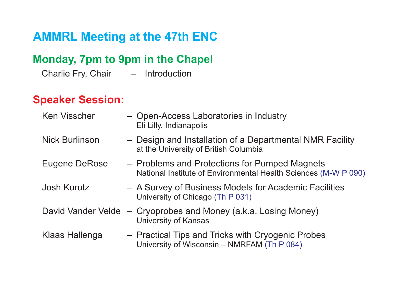## **Monday, 7pm to 9pm in the Chapel**

Charlie Fry, Chair – Introduction

## **Speaker Session:**

| <b>Ken Visscher</b>   | - Open-Access Laboratories in Industry<br>Eli Lilly, Indianapolis                                                |
|-----------------------|------------------------------------------------------------------------------------------------------------------|
| <b>Nick Burlinson</b> | - Design and Installation of a Departmental NMR Facility<br>at the University of British Columbia                |
| Eugene DeRose         | - Problems and Protections for Pumped Magnets<br>National Institute of Environmental Health Sciences (M-W P 090) |
| Josh Kurutz           | - A Survey of Business Models for Academic Facilities<br>University of Chicago (Th P 031)                        |
| David Vander Velde    | - Cryoprobes and Money (a.k.a. Losing Money)<br>University of Kansas                                             |
| Klaas Hallenga        | - Practical Tips and Tricks with Cryogenic Probes<br>University of Wisconsin - NMRFAM (Th P 084)                 |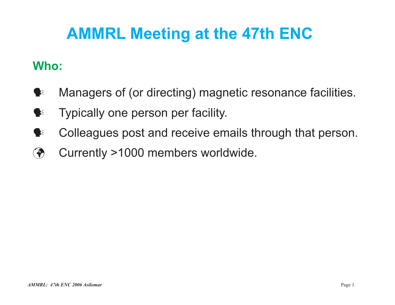# **Who:**

- $\blacktriangleright$ Managers of (or directing) magnetic resonance facilities.
- $\blacktriangleright$ Typically one person per facility.
- $\blacktriangleright$ Colleagues post and receive emails through that person.
- $\bigcirc$ Currently >1000 members worldwide.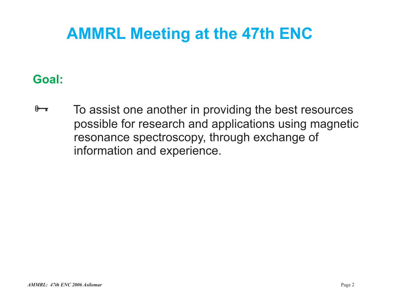## **Goal:**

 $8 - 5$  To assist one another in providing the best resources possible for research and applications using magnetic resonance spectroscopy, through exchange of information and experience.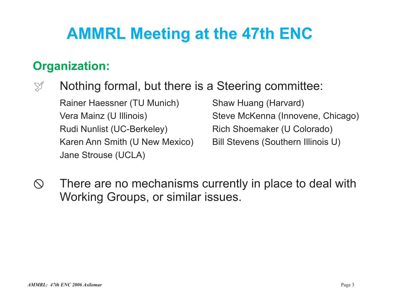## **Organization:**

 $\mathbb{S}^{\mathscr{I}}$  Nothing formal, but there is a Steering committee:

Rainer Haessner (TU Munich) Shaw Huang (Harvard) Rudi Nunlist (UC-Berkeley) Rich Shoemaker (U Colorado) Karen Ann Smith (U New Mexico) Bill Stevens (Southern Illinois U) Jane Strouse (UCLA)

Vera Mainz (U Illinois) Steve McKenna (Innovene, Chicago)

 $\circled{S}$  There are no mechanisms currently in place to deal with Working Groups, or similar issues.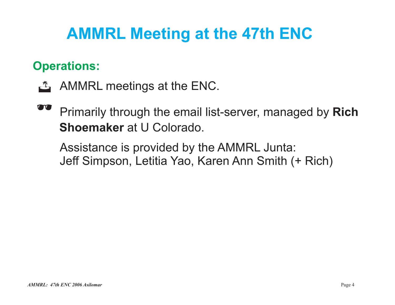# **Operations:**

- **AMMRL meetings at the ENC.**
- **Primarily through the email list-server, managed by Rich Shoemaker** at U Colorado.

Assistance is provided by the AMMRL Junta: Jeff Simpson, Letitia Yao, Karen Ann Smith (+ Rich)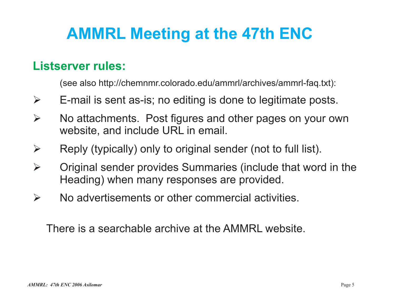## **Listserver rules:**

(see also http://chemnmr.colorado.edu/ammrl/archives/ammrl-faq.txt):

- $\blacktriangleright$ E-mail is sent as-is; no editing is done to legitimate posts.
- No attachments. Post figures and other pages on your own website, and include URL in email.  $\blacktriangleright$
- Reply (typically) only to original sender (not to full list).  $\blacktriangleright$
- Original sender provides Summaries (include that word in the Heading) when many responses are provided.  $\blacktriangleright$
- No advertisements or other commercial activities. $\blacktriangleright$

There is a searchable archive at the AMMRL website.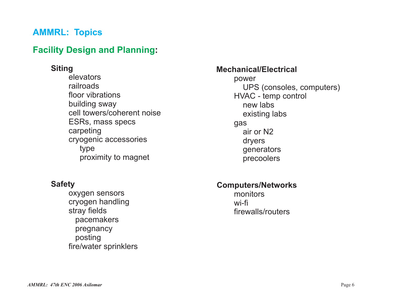### **Facility Design and Planning:**

#### **Siting**

elevatorsrailroadsfloor vibrationsbuilding sway cell towers/coherent noiseESRs, mass specs carpeting cryogenic accessories type proximity to magnet

#### **Safety**

oxygen sensors cryogen handling stray fields pacemakers pregnancy posting fire/water sprinklers

#### **Mechanical/Electrical**

power UPS (consoles, computers) HVAC - temp control new labsexisting labs gas air or N2dryers generators precoolers

#### **Computers/Networks**

monitorswi-fifirewalls/routers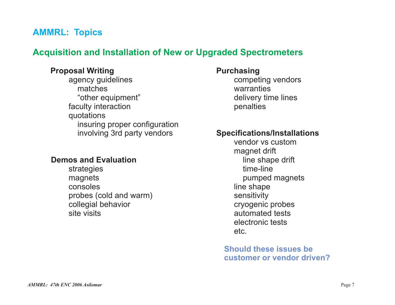### **Acquisition and Installation of New or Upgraded Spectrometers**

#### **Proposal Writing**

agency guidelines matches"other equipment" faculty interaction quotations insuring proper configuration involving 3rd party vendors

#### **Demos and Evaluation**

strategies magnets consolesprobes (cold and warm) collegial behavior site visits

#### **Purchasing**

competing vendors warrantiesdelivery time lines penalties

#### **Specifications/Installations**

vendor vs custommagnet drift line shape drift time-linepumped magnets line shape sensitivity cryogenic probes automated testselectronic testsetc.

**Should these issues becustomer or vendor driven?**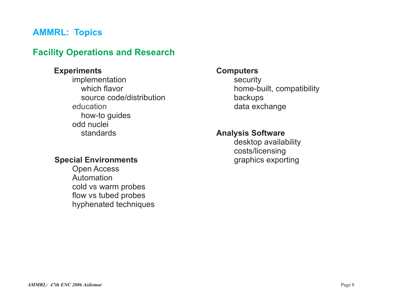### **Facility Operations and Research**

#### **Experiments**

implementation which flavorsource code/distributionhow-to guides odd nucleistandardseducation

#### **Special Environments**

Open Access Automationcold vs warm probes flow vs tubed probes hyphenated techniques

#### **Computers**

security home-built, compatibility backups data exchange

#### **Analysis Software**

desktop availability costs/licensing graphics exporting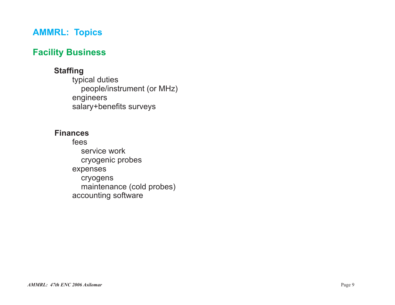### **Facility Business**

#### **Staffing**

typical duties people/instrument (or MHz) engineers salary+benefits surveys

#### **Finances**

feesservice workcryogenic probes expenses cryogens maintenance (cold probes) accounting software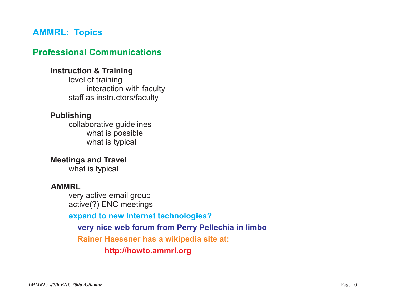### **Professional Communications**

#### **Instruction & Training**

level of training interaction with faculty staff as instructors/faculty

#### **Publishing**

collaborative guidelines what is possible what is typical

**Meetings and Travel** what is typical

#### **AMMRL**

very active email group active(?) ENC meetings

**expand to new Internet technologies?**

**very nice web forum from Perry Pellechia in limbo**

**Rainer Haessner has <sup>a</sup> wikipedia site at:**

**http://howto.ammrl.org**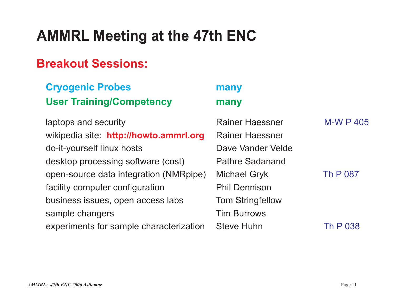## **Breakout Sessions:**

| <b>Cryogenic Probes</b>                 | many                    |                  |
|-----------------------------------------|-------------------------|------------------|
| <b>User Training/Competency</b>         | many                    |                  |
| laptops and security                    | <b>Rainer Haessner</b>  | <b>M-W P 405</b> |
| wikipedia site: http://howto.ammrl.org  | <b>Rainer Haessner</b>  |                  |
| do-it-yourself linux hosts              | Dave Vander Velde       |                  |
| desktop processing software (cost)      | <b>Pathre Sadanand</b>  |                  |
| open-source data integration (NMRpipe)  | <b>Michael Gryk</b>     | <b>Th P 087</b>  |
| facility computer configuration         | <b>Phil Dennison</b>    |                  |
| business issues, open access labs       | <b>Tom Stringfellow</b> |                  |
| sample changers                         | <b>Tim Burrows</b>      |                  |
| experiments for sample characterization | <b>Steve Huhn</b>       | Th P 038         |